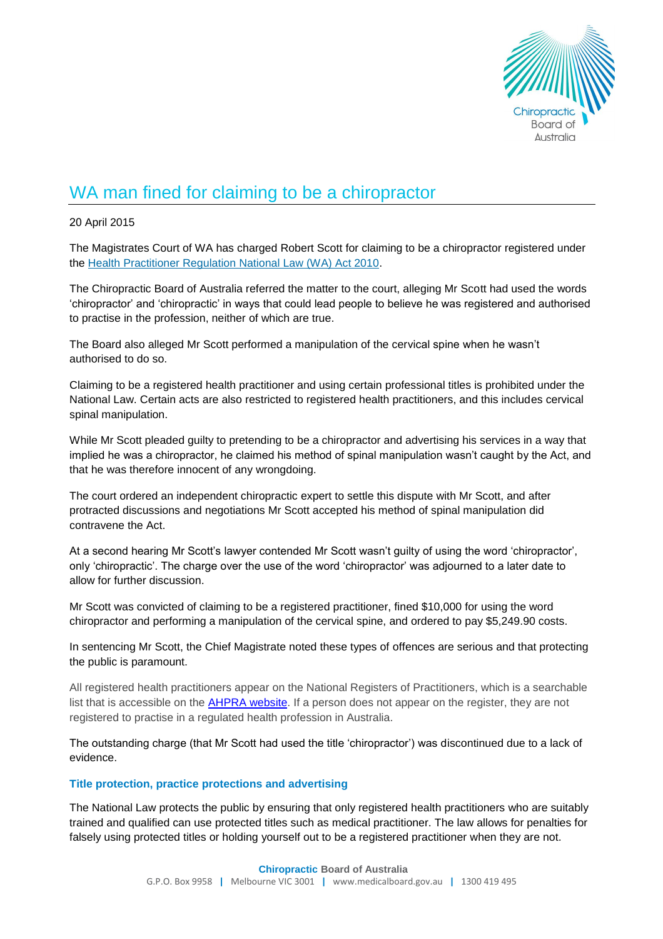

## WA man fined for claiming to be a chiropractor

20 April 2015

The Magistrates Court of WA has charged Robert Scott for claiming to be a chiropractor registered under the [Health Practitioner Regulation National Law \(WA\) Act 2010.](http://www.slp.wa.gov.au/legislation/statutes.nsf/main_mrtitle_12106_currencies.html)

The Chiropractic Board of Australia referred the matter to the court, alleging Mr Scott had used the words 'chiropractor' and 'chiropractic' in ways that could lead people to believe he was registered and authorised to practise in the profession, neither of which are true.

The Board also alleged Mr Scott performed a manipulation of the cervical spine when he wasn't authorised to do so.

Claiming to be a registered health practitioner and using certain professional titles is prohibited under the National Law. Certain acts are also restricted to registered health practitioners, and this includes cervical spinal manipulation.

While Mr Scott pleaded guilty to pretending to be a chiropractor and advertising his services in a way that implied he was a chiropractor, he claimed his method of spinal manipulation wasn't caught by the Act, and that he was therefore innocent of any wrongdoing.

The court ordered an independent chiropractic expert to settle this dispute with Mr Scott, and after protracted discussions and negotiations Mr Scott accepted his method of spinal manipulation did contravene the Act.

At a second hearing Mr Scott's lawyer contended Mr Scott wasn't guilty of using the word 'chiropractor', only 'chiropractic'. The charge over the use of the word 'chiropractor' was adjourned to a later date to allow for further discussion.

Mr Scott was convicted of claiming to be a registered practitioner, fined \$10,000 for using the word chiropractor and performing a manipulation of the cervical spine, and ordered to pay \$5,249.90 costs.

In sentencing Mr Scott, the Chief Magistrate noted these types of offences are serious and that protecting the public is paramount.

All registered health practitioners appear on the National Registers of Practitioners, which is a searchable list that is accessible on the [AHPRA website.](http://www.ahpra.gov.au/Registration/Registers-of-Practitioners.aspx) If a person does not appear on the register, they are not registered to practise in a regulated health profession in Australia.

The outstanding charge (that Mr Scott had used the title 'chiropractor') was discontinued due to a lack of evidence.

## **Title protection, practice protections and advertising**

The National Law protects the public by ensuring that only registered health practitioners who are suitably trained and qualified can use [protected titles](http://www.ahpra.gov.au/News/2014-01-24-media-release.aspx#protected) such as medical practitioner. The law allows for penalties for falsely using protected titles or holding yourself out to be a registered practitioner when they are not.